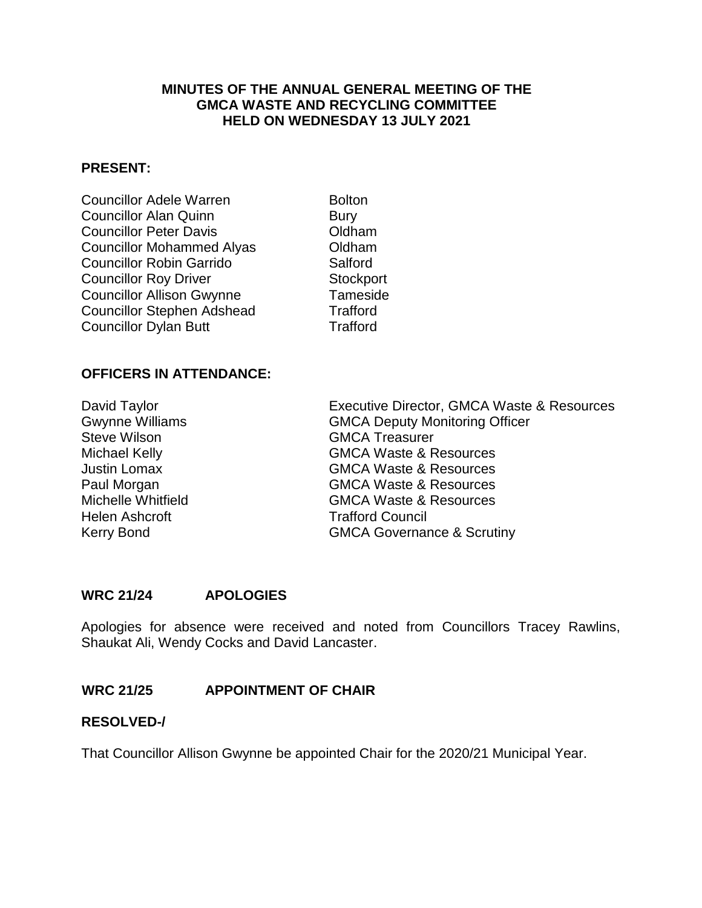## **MINUTES OF THE ANNUAL GENERAL MEETING OF THE GMCA WASTE AND RECYCLING COMMITTEE HELD ON WEDNESDAY 13 JULY 2021**

#### **PRESENT:**

| <b>Councillor Adele Warren</b>    | <b>Bolto</b> |
|-----------------------------------|--------------|
| <b>Councillor Alan Quinn</b>      | Bury         |
| <b>Councillor Peter Davis</b>     | Oldh         |
| <b>Councillor Mohammed Alyas</b>  | Oldh         |
| <b>Councillor Robin Garrido</b>   | Salfo        |
| <b>Councillor Roy Driver</b>      | <b>Stoc</b>  |
| <b>Councillor Allison Gwynne</b>  | Tam          |
| <b>Councillor Stephen Adshead</b> | Traff        |
| <b>Councillor Dylan Butt</b>      | Traff        |
|                                   |              |

**Bolton** Oldham Oldham Salford Stockport Tameside **Trafford Trafford** 

## **OFFICERS IN ATTENDANCE:**

| David Taylor              |
|---------------------------|
| <b>Gwynne Williams</b>    |
| <b>Steve Wilson</b>       |
| Michael Kelly             |
| <b>Justin Lomax</b>       |
| Paul Morgan               |
| <b>Michelle Whitfield</b> |
| <b>Helen Ashcroft</b>     |
| Kerry Bond                |
|                           |

Executive Director, GMCA Waste & Resources GMCA Deputy Monitoring Officer **GMCA Treasurer GMCA Waste & Resources** GMCA Waste & Resources **GMCA Waste & Resources GMCA Waste & Resources Trafford Council GMCA Governance & Scrutiny** 

## **WRC 21/24 APOLOGIES**

Apologies for absence were received and noted from Councillors Tracey Rawlins, Shaukat Ali, Wendy Cocks and David Lancaster.

## **WRC 21/25 APPOINTMENT OF CHAIR**

## **RESOLVED-/**

That Councillor Allison Gwynne be appointed Chair for the 2020/21 Municipal Year.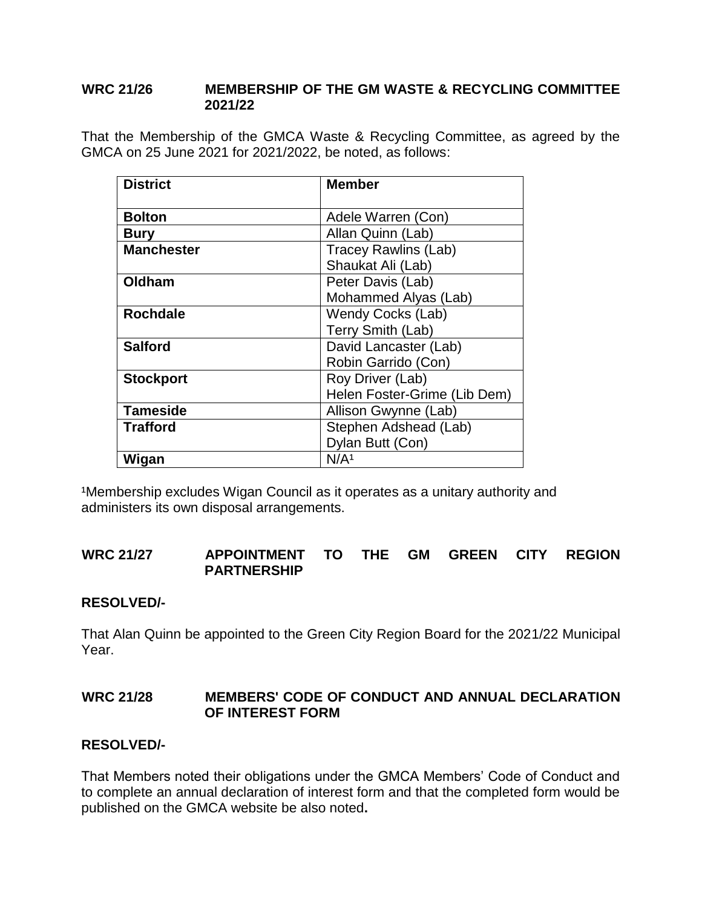## **WRC 21/26 MEMBERSHIP OF THE GM WASTE & RECYCLING COMMITTEE 2021/22**

That the Membership of the GMCA Waste & Recycling Committee, as agreed by the GMCA on 25 June 2021 for 2021/2022, be noted, as follows:

| <b>District</b>   | <b>Member</b>                |
|-------------------|------------------------------|
|                   |                              |
| <b>Bolton</b>     | Adele Warren (Con)           |
| <b>Bury</b>       | Allan Quinn (Lab)            |
| <b>Manchester</b> | <b>Tracey Rawlins (Lab)</b>  |
|                   | Shaukat Ali (Lab)            |
| Oldham            | Peter Davis (Lab)            |
|                   | Mohammed Alyas (Lab)         |
| <b>Rochdale</b>   | <b>Wendy Cocks (Lab)</b>     |
|                   | Terry Smith (Lab)            |
| <b>Salford</b>    | David Lancaster (Lab)        |
|                   | Robin Garrido (Con)          |
| <b>Stockport</b>  | Roy Driver (Lab)             |
|                   | Helen Foster-Grime (Lib Dem) |
| <b>Tameside</b>   | Allison Gwynne (Lab)         |
| <b>Trafford</b>   | Stephen Adshead (Lab)        |
|                   | Dylan Butt (Con)             |
| Wigan             | N/A <sup>1</sup>             |

<sup>1</sup>Membership excludes Wigan Council as it operates as a unitary authority and administers its own disposal arrangements.

## **WRC 21/27 APPOINTMENT TO THE GM GREEN CITY REGION PARTNERSHIP**

## **RESOLVED/-**

That Alan Quinn be appointed to the Green City Region Board for the 2021/22 Municipal Year.

## **WRC 21/28 MEMBERS' CODE OF CONDUCT AND ANNUAL DECLARATION OF INTEREST FORM**

## **RESOLVED/-**

That Members noted their obligations under the GMCA Members' Code of Conduct and to complete an annual declaration of interest form and that the completed form would be published on the GMCA website be also noted**.**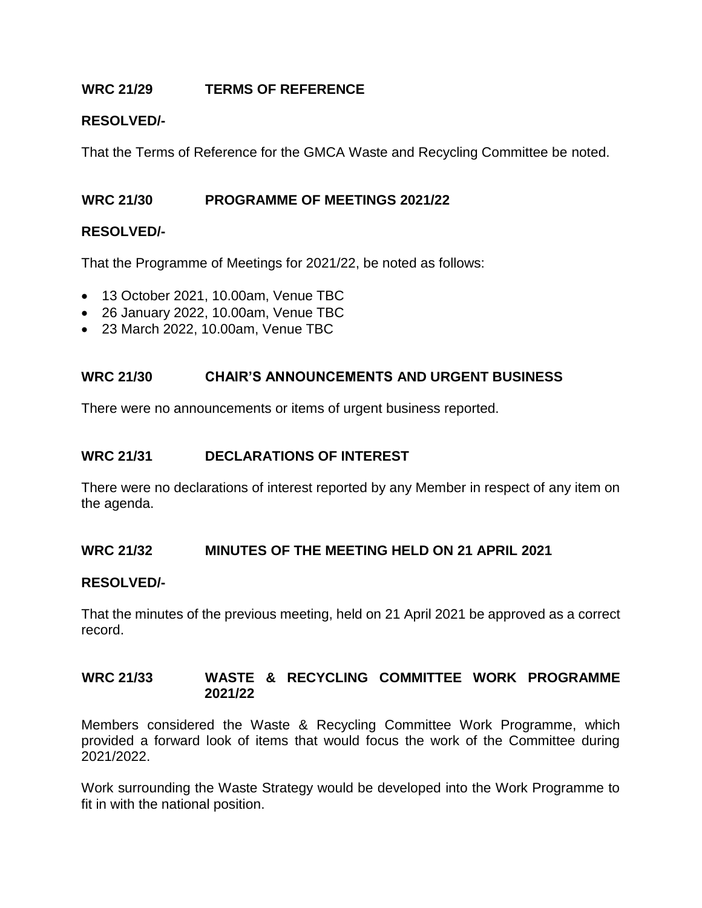## **WRC 21/29 TERMS OF REFERENCE**

## **RESOLVED/-**

That the Terms of Reference for the GMCA Waste and Recycling Committee be noted.

## **WRC 21/30 PROGRAMME OF MEETINGS 2021/22**

## **RESOLVED/-**

That the Programme of Meetings for 2021/22, be noted as follows:

- 13 October 2021, 10.00am, Venue TBC
- 26 January 2022, 10.00am, Venue TBC
- 23 March 2022, 10.00am, Venue TBC

## **WRC 21/30 CHAIR'S ANNOUNCEMENTS AND URGENT BUSINESS**

There were no announcements or items of urgent business reported.

## **WRC 21/31 DECLARATIONS OF INTEREST**

There were no declarations of interest reported by any Member in respect of any item on the agenda.

## **WRC 21/32 MINUTES OF THE MEETING HELD ON 21 APRIL 2021**

#### **RESOLVED/-**

That the minutes of the previous meeting, held on 21 April 2021 be approved as a correct record.

## **WRC 21/33 WASTE & RECYCLING COMMITTEE WORK PROGRAMME 2021/22**

Members considered the Waste & Recycling Committee Work Programme, which provided a forward look of items that would focus the work of the Committee during 2021/2022.

Work surrounding the Waste Strategy would be developed into the Work Programme to fit in with the national position.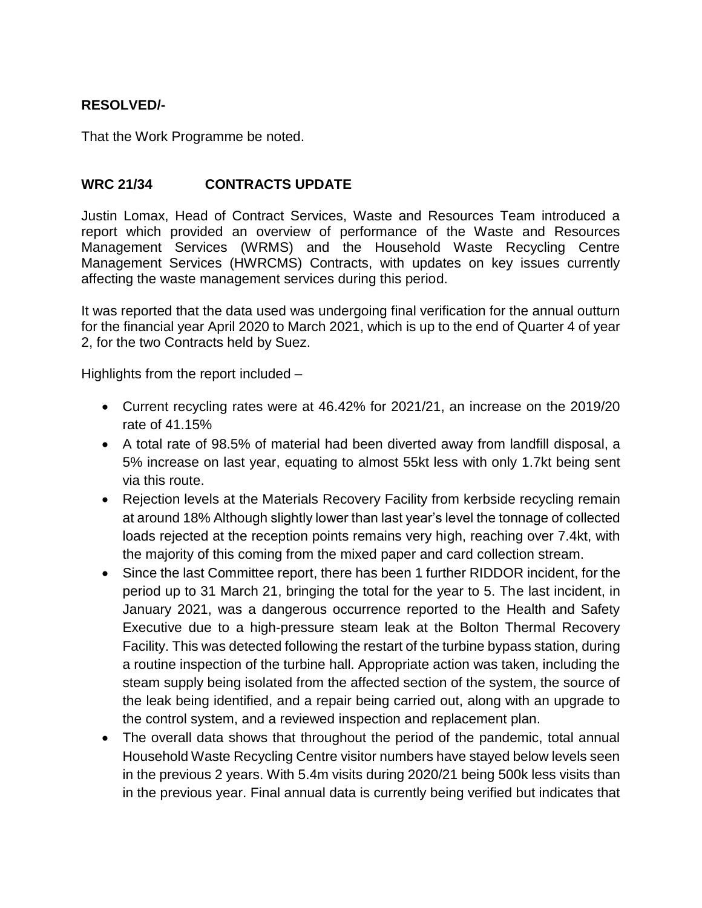## **RESOLVED/-**

That the Work Programme be noted.

## **WRC 21/34 CONTRACTS UPDATE**

Justin Lomax, Head of Contract Services, Waste and Resources Team introduced a report which provided an overview of performance of the Waste and Resources Management Services (WRMS) and the Household Waste Recycling Centre Management Services (HWRCMS) Contracts, with updates on key issues currently affecting the waste management services during this period.

It was reported that the data used was undergoing final verification for the annual outturn for the financial year April 2020 to March 2021, which is up to the end of Quarter 4 of year 2, for the two Contracts held by Suez.

Highlights from the report included –

- Current recycling rates were at 46.42% for 2021/21, an increase on the 2019/20 rate of 41.15%
- A total rate of 98.5% of material had been diverted away from landfill disposal, a 5% increase on last year, equating to almost 55kt less with only 1.7kt being sent via this route.
- Rejection levels at the Materials Recovery Facility from kerbside recycling remain at around 18% Although slightly lower than last year's level the tonnage of collected loads rejected at the reception points remains very high, reaching over 7.4kt, with the majority of this coming from the mixed paper and card collection stream.
- Since the last Committee report, there has been 1 further RIDDOR incident, for the period up to 31 March 21, bringing the total for the year to 5. The last incident, in January 2021, was a dangerous occurrence reported to the Health and Safety Executive due to a high-pressure steam leak at the Bolton Thermal Recovery Facility. This was detected following the restart of the turbine bypass station, during a routine inspection of the turbine hall. Appropriate action was taken, including the steam supply being isolated from the affected section of the system, the source of the leak being identified, and a repair being carried out, along with an upgrade to the control system, and a reviewed inspection and replacement plan.
- The overall data shows that throughout the period of the pandemic, total annual Household Waste Recycling Centre visitor numbers have stayed below levels seen in the previous 2 years. With 5.4m visits during 2020/21 being 500k less visits than in the previous year. Final annual data is currently being verified but indicates that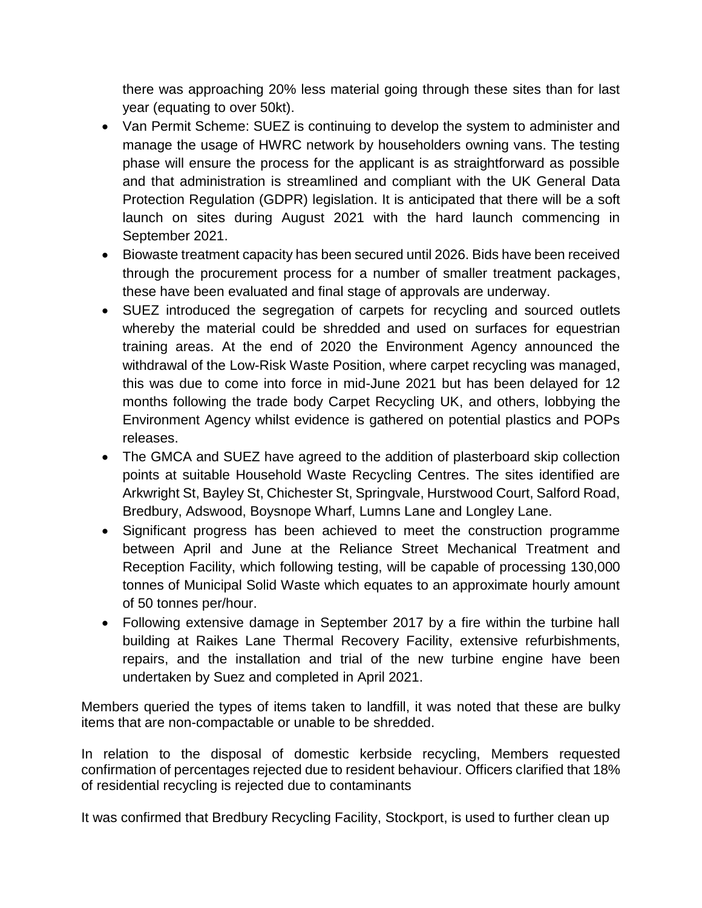there was approaching 20% less material going through these sites than for last year (equating to over 50kt).

- Van Permit Scheme: SUEZ is continuing to develop the system to administer and manage the usage of HWRC network by householders owning vans. The testing phase will ensure the process for the applicant is as straightforward as possible and that administration is streamlined and compliant with the UK General Data Protection Regulation (GDPR) legislation. It is anticipated that there will be a soft launch on sites during August 2021 with the hard launch commencing in September 2021.
- Biowaste treatment capacity has been secured until 2026. Bids have been received through the procurement process for a number of smaller treatment packages, these have been evaluated and final stage of approvals are underway.
- SUEZ introduced the segregation of carpets for recycling and sourced outlets whereby the material could be shredded and used on surfaces for equestrian training areas. At the end of 2020 the Environment Agency announced the withdrawal of the Low-Risk Waste Position, where carpet recycling was managed, this was due to come into force in mid-June 2021 but has been delayed for 12 months following the trade body Carpet Recycling UK, and others, lobbying the Environment Agency whilst evidence is gathered on potential plastics and POPs releases.
- The GMCA and SUEZ have agreed to the addition of plasterboard skip collection points at suitable Household Waste Recycling Centres. The sites identified are Arkwright St, Bayley St, Chichester St, Springvale, Hurstwood Court, Salford Road, Bredbury, Adswood, Boysnope Wharf, Lumns Lane and Longley Lane.
- Significant progress has been achieved to meet the construction programme between April and June at the Reliance Street Mechanical Treatment and Reception Facility, which following testing, will be capable of processing 130,000 tonnes of Municipal Solid Waste which equates to an approximate hourly amount of 50 tonnes per/hour.
- Following extensive damage in September 2017 by a fire within the turbine hall building at Raikes Lane Thermal Recovery Facility, extensive refurbishments, repairs, and the installation and trial of the new turbine engine have been undertaken by Suez and completed in April 2021.

Members queried the types of items taken to landfill, it was noted that these are bulky items that are non-compactable or unable to be shredded.

In relation to the disposal of domestic kerbside recycling, Members requested confirmation of percentages rejected due to resident behaviour. Officers clarified that 18% of residential recycling is rejected due to contaminants

It was confirmed that Bredbury Recycling Facility, Stockport, is used to further clean up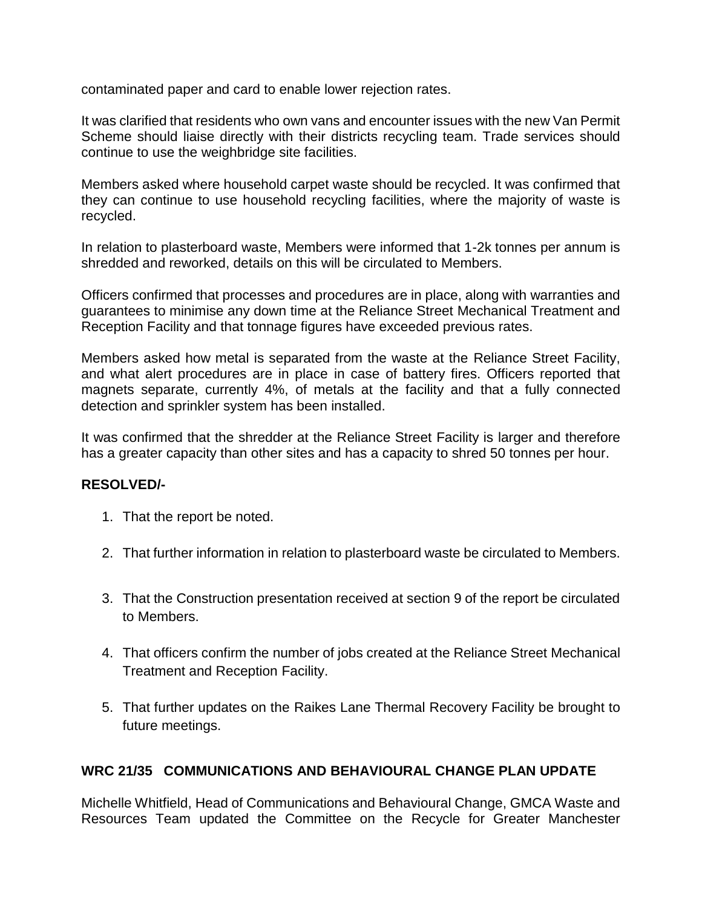contaminated paper and card to enable lower rejection rates.

It was clarified that residents who own vans and encounter issues with the new Van Permit Scheme should liaise directly with their districts recycling team. Trade services should continue to use the weighbridge site facilities.

Members asked where household carpet waste should be recycled. It was confirmed that they can continue to use household recycling facilities, where the majority of waste is recycled.

In relation to plasterboard waste, Members were informed that 1-2k tonnes per annum is shredded and reworked, details on this will be circulated to Members.

Officers confirmed that processes and procedures are in place, along with warranties and guarantees to minimise any down time at the Reliance Street Mechanical Treatment and Reception Facility and that tonnage figures have exceeded previous rates.

Members asked how metal is separated from the waste at the Reliance Street Facility, and what alert procedures are in place in case of battery fires. Officers reported that magnets separate, currently 4%, of metals at the facility and that a fully connected detection and sprinkler system has been installed.

It was confirmed that the shredder at the Reliance Street Facility is larger and therefore has a greater capacity than other sites and has a capacity to shred 50 tonnes per hour.

## **RESOLVED/-**

- 1. That the report be noted.
- 2. That further information in relation to plasterboard waste be circulated to Members.
- 3. That the Construction presentation received at section 9 of the report be circulated to Members.
- 4. That officers confirm the number of jobs created at the Reliance Street Mechanical Treatment and Reception Facility.
- 5. That further updates on the Raikes Lane Thermal Recovery Facility be brought to future meetings.

# **WRC 21/35 COMMUNICATIONS AND BEHAVIOURAL CHANGE PLAN UPDATE**

Michelle Whitfield, Head of Communications and Behavioural Change, GMCA Waste and Resources Team updated the Committee on the Recycle for Greater Manchester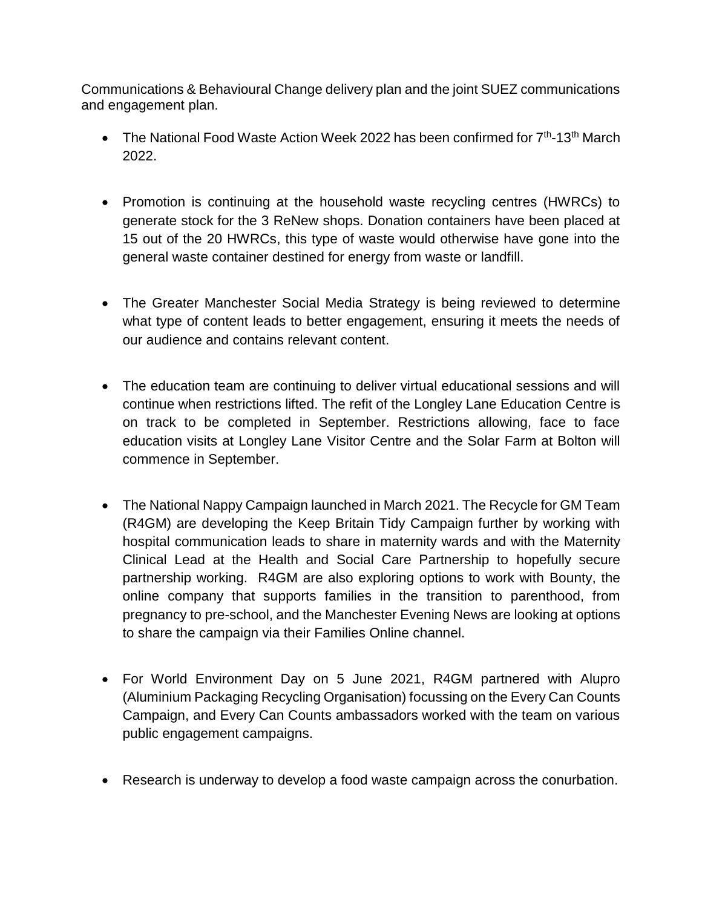Communications & Behavioural Change delivery plan and the joint SUEZ communications and engagement plan.

- The National Food Waste Action Week 2022 has been confirmed for 7<sup>th</sup>-13<sup>th</sup> March 2022.
- Promotion is continuing at the household waste recycling centres (HWRCs) to generate stock for the 3 ReNew shops. Donation containers have been placed at 15 out of the 20 HWRCs, this type of waste would otherwise have gone into the general waste container destined for energy from waste or landfill.
- The Greater Manchester Social Media Strategy is being reviewed to determine what type of content leads to better engagement, ensuring it meets the needs of our audience and contains relevant content.
- The education team are continuing to deliver virtual educational sessions and will continue when restrictions lifted. The refit of the Longley Lane Education Centre is on track to be completed in September. Restrictions allowing, face to face education visits at Longley Lane Visitor Centre and the Solar Farm at Bolton will commence in September.
- The National Nappy Campaign launched in March 2021. The Recycle for GM Team (R4GM) are developing the Keep Britain Tidy Campaign further by working with hospital communication leads to share in maternity wards and with the Maternity Clinical Lead at the Health and Social Care Partnership to hopefully secure partnership working. R4GM are also exploring options to work with Bounty, the online company that supports families in the transition to parenthood, from pregnancy to pre-school, and the Manchester Evening News are looking at options to share the campaign via their Families Online channel.
- For World Environment Day on 5 June 2021, R4GM partnered with Alupro (Aluminium Packaging Recycling Organisation) focussing on the Every Can Counts Campaign, and Every Can Counts ambassadors worked with the team on various public engagement campaigns.
- Research is underway to develop a food waste campaign across the conurbation.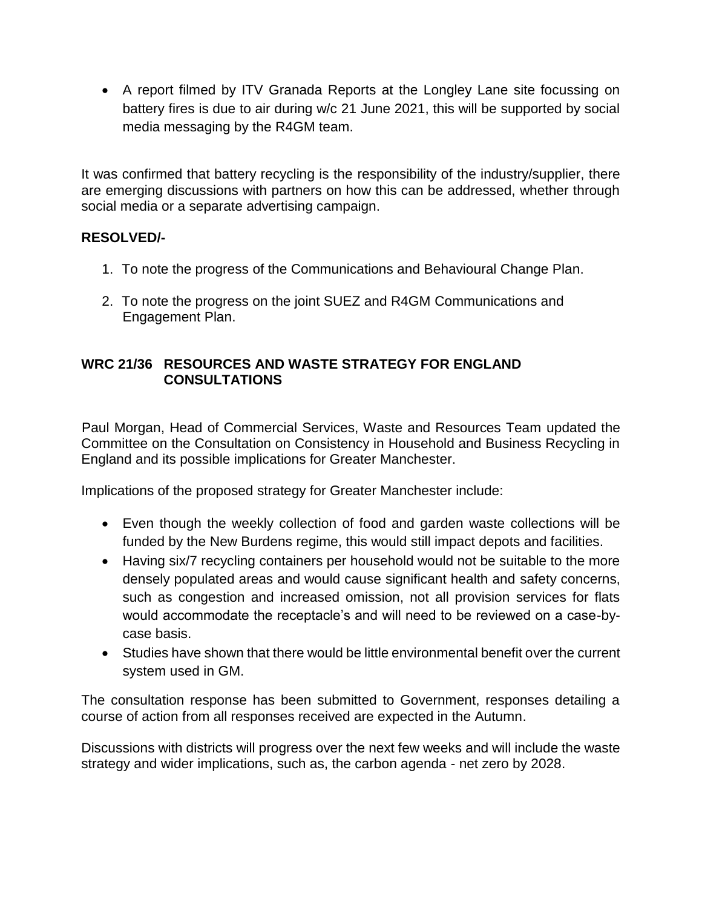• A report filmed by ITV Granada Reports at the Longley Lane site focussing on battery fires is due to air during w/c 21 June 2021, this will be supported by social media messaging by the R4GM team.

It was confirmed that battery recycling is the responsibility of the industry/supplier, there are emerging discussions with partners on how this can be addressed, whether through social media or a separate advertising campaign.

## **RESOLVED/-**

- 1. To note the progress of the Communications and Behavioural Change Plan.
- 2. To note the progress on the joint SUEZ and R4GM Communications and Engagement Plan.

## **WRC 21/36 RESOURCES AND WASTE STRATEGY FOR ENGLAND CONSULTATIONS**

Paul Morgan, Head of Commercial Services, Waste and Resources Team updated the Committee on the Consultation on Consistency in Household and Business Recycling in England and its possible implications for Greater Manchester.

Implications of the proposed strategy for Greater Manchester include:

- Even though the weekly collection of food and garden waste collections will be funded by the New Burdens regime, this would still impact depots and facilities.
- Having six/7 recycling containers per household would not be suitable to the more densely populated areas and would cause significant health and safety concerns, such as congestion and increased omission, not all provision services for flats would accommodate the receptacle's and will need to be reviewed on a case-bycase basis.
- Studies have shown that there would be little environmental benefit over the current system used in GM.

The consultation response has been submitted to Government, responses detailing a course of action from all responses received are expected in the Autumn.

Discussions with districts will progress over the next few weeks and will include the waste strategy and wider implications, such as, the carbon agenda - net zero by 2028.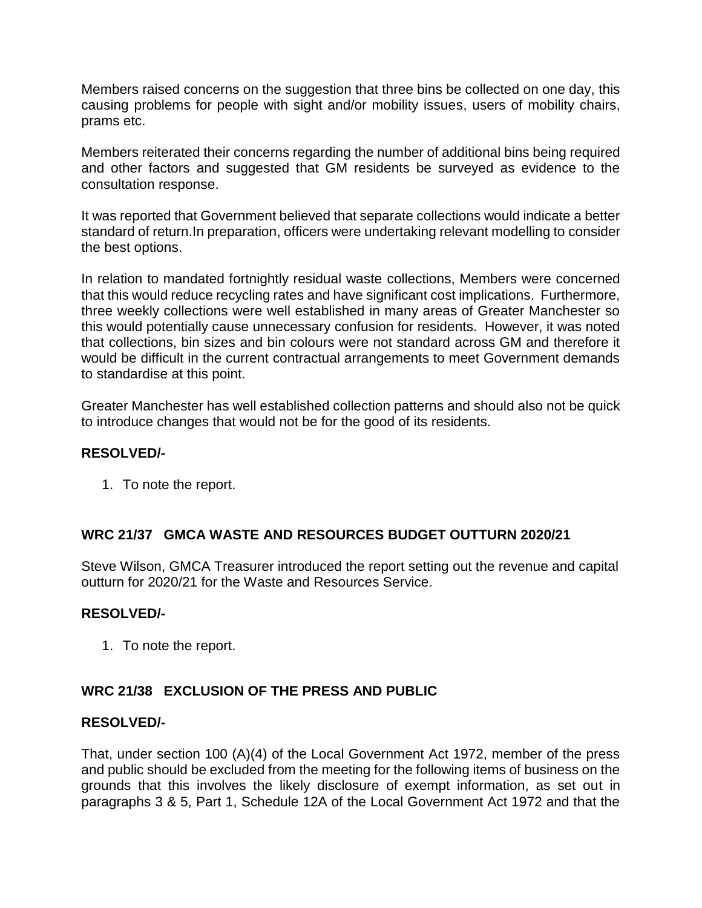Members raised concerns on the suggestion that three bins be collected on one day, this causing problems for people with sight and/or mobility issues, users of mobility chairs, prams etc.

Members reiterated their concerns regarding the number of additional bins being required and other factors and suggested that GM residents be surveyed as evidence to the consultation response.

It was reported that Government believed that separate collections would indicate a better standard of return.In preparation, officers were undertaking relevant modelling to consider the best options.

In relation to mandated fortnightly residual waste collections, Members were concerned that this would reduce recycling rates and have significant cost implications. Furthermore, three weekly collections were well established in many areas of Greater Manchester so this would potentially cause unnecessary confusion for residents. However, it was noted that collections, bin sizes and bin colours were not standard across GM and therefore it would be difficult in the current contractual arrangements to meet Government demands to standardise at this point.

Greater Manchester has well established collection patterns and should also not be quick to introduce changes that would not be for the good of its residents.

## **RESOLVED/-**

1. To note the report.

## **WRC 21/37 GMCA WASTE AND RESOURCES BUDGET OUTTURN 2020/21**

Steve Wilson, GMCA Treasurer introduced the report setting out the revenue and capital outturn for 2020/21 for the Waste and Resources Service.

## **RESOLVED/-**

1. To note the report.

## **WRC 21/38 EXCLUSION OF THE PRESS AND PUBLIC**

#### **RESOLVED/-**

That, under section 100 (A)(4) of the Local Government Act 1972, member of the press and public should be excluded from the meeting for the following items of business on the grounds that this involves the likely disclosure of exempt information, as set out in paragraphs 3 & 5, Part 1, Schedule 12A of the Local Government Act 1972 and that the